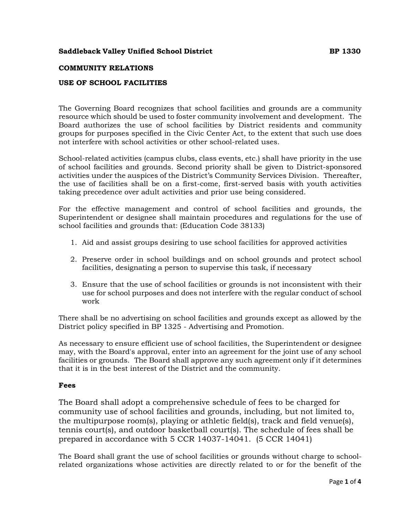#### **COMMUNITY RELATIONS**

#### **USE OF SCHOOL FACILITIES**

The Governing Board recognizes that school facilities and grounds are a community resource which should be used to foster community involvement and development. The Board authorizes the use of school facilities by District residents and community groups for purposes specified in the Civic Center Act, to the extent that such use does not interfere with school activities or other school-related uses.

School-related activities (campus clubs, class events, etc.) shall have priority in the use of school facilities and grounds. Second priority shall be given to District-sponsored activities under the auspices of the District's Community Services Division. Thereafter, the use of facilities shall be on a first-come, first-served basis with youth activities taking precedence over adult activities and prior use being considered.

For the effective management and control of school facilities and grounds, the Superintendent or designee shall maintain procedures and regulations for the use of school facilities and grounds that: (Education Code 38133)

- 1. Aid and assist groups desiring to use school facilities for approved activities
- 2. Preserve order in school buildings and on school grounds and protect school facilities, designating a person to supervise this task, if necessary
- 3. Ensure that the use of school facilities or grounds is not inconsistent with their use for school purposes and does not interfere with the regular conduct of school work

There shall be no advertising on school facilities and grounds except as allowed by the District policy specified in BP 1325 - Advertising and Promotion.

As necessary to ensure efficient use of school facilities, the Superintendent or designee may, with the Board's approval, enter into an agreement for the joint use of any school facilities or grounds. The Board shall approve any such agreement only if it determines that it is in the best interest of the District and the community.

#### **Fees**

The Board shall adopt a comprehensive schedule of fees to be charged for community use of school facilities and grounds, including, but not limited to, the multipurpose room(s), playing or athletic field(s), track and field venue(s), tennis court(s), and outdoor basketball court(s). The schedule of fees shall be prepared in accordance with 5 CCR 14037-14041. (5 CCR 14041)

The Board shall grant the use of school facilities or grounds without charge to schoolrelated organizations whose activities are directly related to or for the benefit of the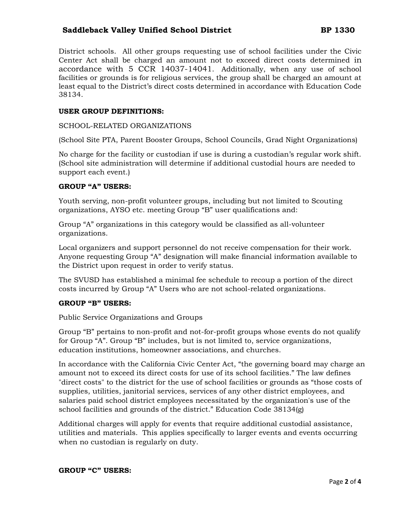District schools. All other groups requesting use of school facilities under the Civic Center Act shall be charged an amount not to exceed direct costs determined in accordance with 5 CCR 14037-14041. Additionally, when any use of school facilities or grounds is for religious services, the group shall be charged an amount at least equal to the District's direct costs determined in accordance with Education Code 38134.

### **USER GROUP DEFINITIONS:**

#### SCHOOL-RELATED ORGANIZATIONS

(School Site PTA, Parent Booster Groups, School Councils, Grad Night Organizations)

No charge for the facility or custodian if use is during a custodian's regular work shift. (School site administration will determine if additional custodial hours are needed to support each event.)

#### **GROUP "A" USERS:**

Youth serving, non-profit volunteer groups, including but not limited to Scouting organizations, AYSO etc. meeting Group "B" user qualifications and:

Group "A" organizations in this category would be classified as all-volunteer organizations.

Local organizers and support personnel do not receive compensation for their work. Anyone requesting Group "A" designation will make financial information available to the District upon request in order to verify status.

The SVUSD has established a minimal fee schedule to recoup a portion of the direct costs incurred by Group "A" Users who are not school-related organizations.

#### **GROUP "B" USERS:**

Public Service Organizations and Groups

Group "B" pertains to non-profit and not-for-profit groups whose events do not qualify for Group "A". Group "B" includes, but is not limited to, service organizations, education institutions, homeowner associations, and churches.

In accordance with the California Civic Center Act, "the governing board may charge an amount not to exceed its direct costs for use of its school facilities." The law defines "direct costs" to the district for the use of school facilities or grounds as "those costs of supplies, utilities, janitorial services, services of any other district employees, and salaries paid school district employees necessitated by the organization's use of the school facilities and grounds of the district." Education Code 38134(g)

Additional charges will apply for events that require additional custodial assistance, utilities and materials. This applies specifically to larger events and events occurring when no custodian is regularly on duty.

#### **GROUP "C" USERS:**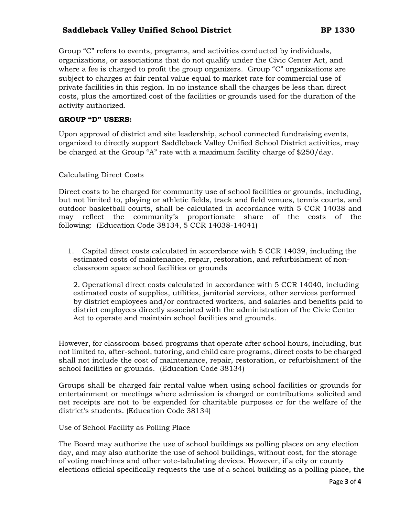Group "C" refers to events, programs, and activities conducted by individuals, organizations, or associations that do not qualify under the Civic Center Act, and where a fee is charged to profit the group organizers. Group "C" organizations are subject to charges at fair rental value equal to market rate for commercial use of private facilities in this region. In no instance shall the charges be less than direct costs, plus the amortized cost of the facilities or grounds used for the duration of the activity authorized.

#### **GROUP "D" USERS:**

Upon approval of district and site leadership, school connected fundraising events, organized to directly support Saddleback Valley Unified School District activities, may be charged at the Group "A" rate with a maximum facility charge of \$250/day.

Calculating Direct Costs

Direct costs to be charged for community use of school facilities or grounds, including, but not limited to, playing or athletic fields, track and field venues, tennis courts, and outdoor basketball courts, shall be calculated in accordance with 5 CCR 14038 and may reflect the community's proportionate share of the costs of the following: (Education Code 38134, 5 CCR 14038-14041)

1. Capital direct costs calculated in accordance with 5 CCR 14039, including the estimated costs of maintenance, repair, restoration, and refurbishment of nonclassroom space school facilities or grounds

2. Operational direct costs calculated in accordance with 5 CCR 14040, including estimated costs of supplies, utilities, janitorial services, other services performed by district employees and/or contracted workers, and salaries and benefits paid to district employees directly associated with the administration of the Civic Center Act to operate and maintain school facilities and grounds.

However, for classroom-based programs that operate after school hours, including, but not limited to, after-school, tutoring, and child care programs, direct costs to be charged shall not include the cost of maintenance, repair, restoration, or refurbishment of the school facilities or grounds. (Education Code 38134)

Groups shall be charged fair rental value when using school facilities or grounds for entertainment or meetings where admission is charged or contributions solicited and net receipts are not to be expended for charitable purposes or for the welfare of the district's students. (Education Code 38134)

Use of School Facility as Polling Place

The Board may authorize the use of school buildings as polling places on any election day, and may also authorize the use of school buildings, without cost, for the storage of voting machines and other vote-tabulating devices. However, if a city or county elections official specifically requests the use of a school building as a polling place, the